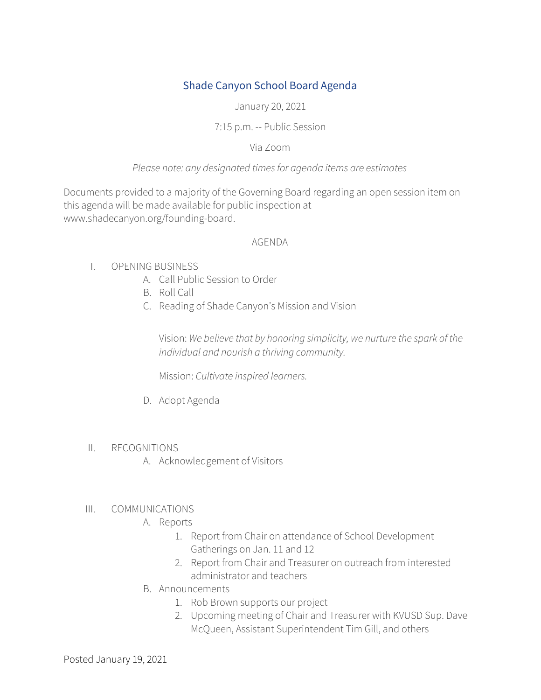# Shade Canyon School Board Agenda

January 20, 2021

### 7:15 p.m. -- Public Session

### Via Zoom

### *Please note: any designated timesfor agenda items are estimates*

Documents provided to a majority of the Governing Board regarding an open session item on this agenda will be made available for public inspection at www.shadecanyon.org/founding-board.

#### AGENDA

- I. OPENING BUSINESS
	- A. Call Public Session to Order
	- B. Roll Call
	- C. Reading of Shade Canyon's Mission and Vision

Vision: *We believe that by honoring simplicity, we nurture the spark of the individual and nourish a thriving community.*

Mission: *Cultivate inspired learners.*

D. Adopt Agenda

### II. RECOGNITIONS

A. Acknowledgement of Visitors

## III. COMMUNICATIONS

- A. Reports
	- 1. Report from Chair on attendance of School Development Gatherings on Jan. 11 and 12
	- 2. Report from Chair and Treasurer on outreach from interested administrator and teachers
- B. Announcements
	- 1. Rob Brown supports our project
	- 2. Upcoming meeting of Chair and Treasurer with KVUSD Sup. Dave McQueen, Assistant Superintendent Tim Gill, and others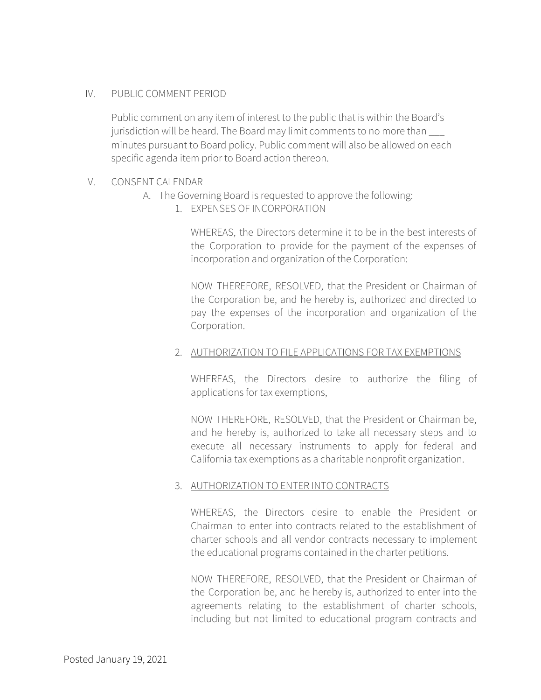### IV. PUBLIC COMMENT PERIOD

Public comment on any item of interest to the public that is within the Board's jurisdiction will be heard. The Board may limit comments to no more than \_\_\_ minutes pursuant to Board policy. Public comment will also be allowed on each specific agenda item prior to Board action thereon.

#### V. CONSENT CALENDAR

- A. The Governing Board is requested to approve the following:
	- 1. EXPENSES OF INCORPORATION

WHEREAS, the Directors determine it to be in the best interests of the Corporation to provide for the payment of the expenses of incorporation and organization of the Corporation:

NOW THEREFORE, RESOLVED, that the President or Chairman of the Corporation be, and he hereby is, authorized and directed to pay the expenses of the incorporation and organization of the Corporation.

#### 2. AUTHORIZATION TO FILE APPLICATIONS FOR TAX EXEMPTIONS

WHEREAS, the Directors desire to authorize the filing of applications for tax exemptions,

NOW THEREFORE, RESOLVED, that the President or Chairman be, and he hereby is, authorized to take all necessary steps and to execute all necessary instruments to apply for federal and California tax exemptions as a charitable nonprofit organization.

#### 3. AUTHORIZATION TO ENTER INTO CONTRACTS

WHEREAS, the Directors desire to enable the President or Chairman to enter into contracts related to the establishment of charter schools and all vendor contracts necessary to implement the educational programs contained in the charter petitions.

NOW THEREFORE, RESOLVED, that the President or Chairman of the Corporation be, and he hereby is, authorized to enter into the agreements relating to the establishment of charter schools, including but not limited to educational program contracts and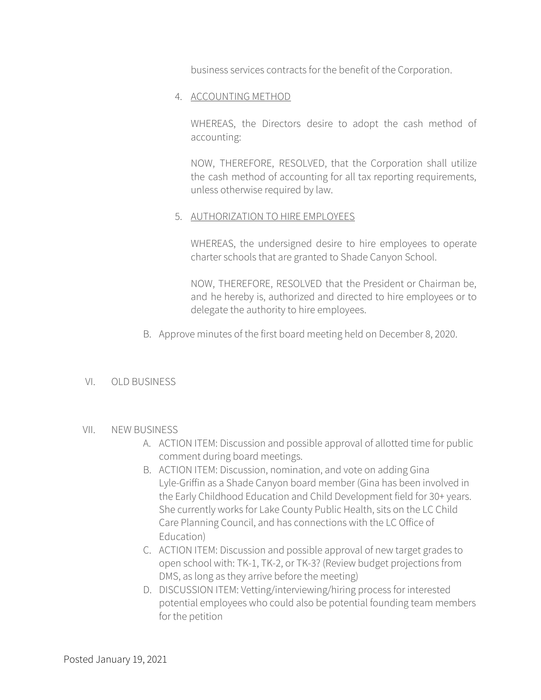business services contracts for the benefit of the Corporation.

### 4. ACCOUNTING METHOD

WHEREAS, the Directors desire to adopt the cash method of accounting:

NOW, THEREFORE, RESOLVED, that the Corporation shall utilize the cash method of accounting for all tax reporting requirements, unless otherwise required by law.

### 5. AUTHORIZATION TO HIRE EMPLOYEES

WHEREAS, the undersigned desire to hire employees to operate charter schools that are granted to Shade Canyon School.

NOW, THEREFORE, RESOLVED that the President or Chairman be, and he hereby is, authorized and directed to hire employees or to delegate the authority to hire employees.

B. Approve minutes of the first board meeting held on December 8, 2020.

### VI. OLD BUSINESS

### VII. NEW BUSINESS

- A. ACTION ITEM: Discussion and possible approval of allotted time for public comment during board meetings.
- B. ACTION ITEM: Discussion, nomination, and vote on adding Gina Lyle-Griffin as a Shade Canyon board member (Gina has been involved in the Early Childhood Education and Child Development field for 30+ years. She currently works for Lake County Public Health, sits on the LC Child Care Planning Council, and has connections with the LC Office of Education)
- C. ACTION ITEM: Discussion and possible approval of new target grades to open school with: TK-1, TK-2, or TK-3? (Review budget projections from DMS, as long as they arrive before the meeting)
- D. DISCUSSION ITEM: Vetting/interviewing/hiring process for interested potential employees who could also be potential founding team members for the petition